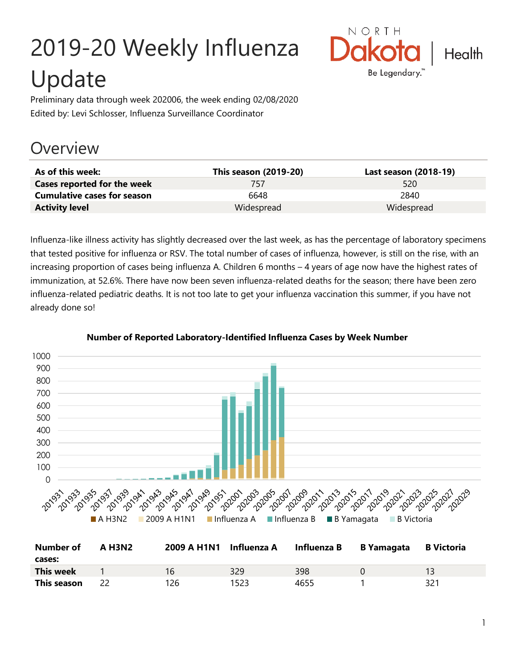# 2019-20 Weekly Influenza Update



Preliminary data through week 202006, the week ending 02/08/2020 Edited by: Levi Schlosser, Influenza Surveillance Coordinator

# **Overview**

| As of this week:                   | This season (2019-20) | Last season (2018-19) |
|------------------------------------|-----------------------|-----------------------|
| Cases reported for the week        | 757                   | 520                   |
| <b>Cumulative cases for season</b> | 6648                  | 2840                  |
| <b>Activity level</b>              | Widespread            | Widespread            |

Influenza-like illness activity has slightly decreased over the last week, as has the percentage of laboratory specimens that tested positive for influenza or RSV. The total number of cases of influenza, however, is still on the rise, with an increasing proportion of cases being influenza A. Children 6 months – 4 years of age now have the highest rates of immunization, at 52.6%. There have now been seven influenza-related deaths for the season; there have been zero influenza-related pediatric deaths. It is not too late to get your influenza vaccination this summer, if you have not already done so!



#### **Number of Reported Laboratory-Identified Influenza Cases by Week Number**

| Number of        | A H3N2 | 2009 A H1N1 Influenza A |      | Influenza B | <b>B</b> Yamagata | B Victoria |
|------------------|--------|-------------------------|------|-------------|-------------------|------------|
| cases:           |        |                         |      |             |                   |            |
| <b>This week</b> |        | 16                      | 329  | 398         |                   |            |
| This season      |        | 126.                    | 1523 | 4655        |                   | 321        |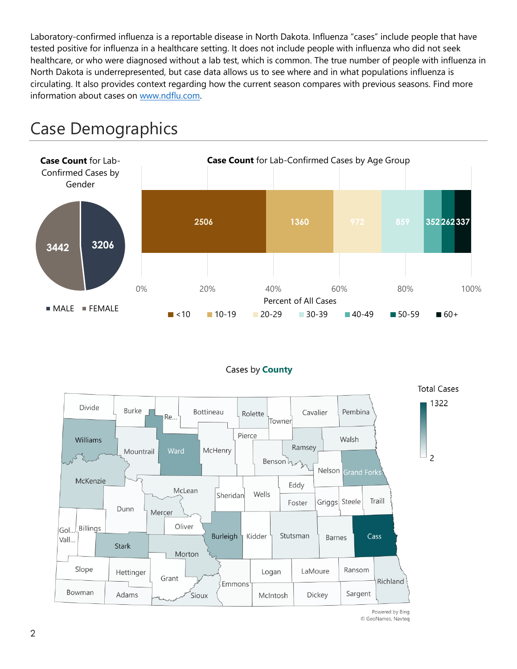Laboratory-confirmed influenza is a reportable disease in North Dakota. Influenza "cases" include people that have tested positive for influenza in a healthcare setting. It does not include people with influenza who did not seek healthcare, or who were diagnosed without a lab test, which is common. The true number of people with influenza in North Dakota is underrepresented, but case data allows us to see where and in what populations influenza is circulating. It also provides context regarding how the current season compares with previous seasons. Find more information about cases on [www.ndflu.com.](file://///nd.gov/doh/DOH-DATA/MSS/DC/PROGRAM/IMMUNE/Immunize/Influenza/Inf18-19/Surveillance/Weekly%20Summaries/www.ndflu.com)







Powered by Bing © GeoNames, Navteq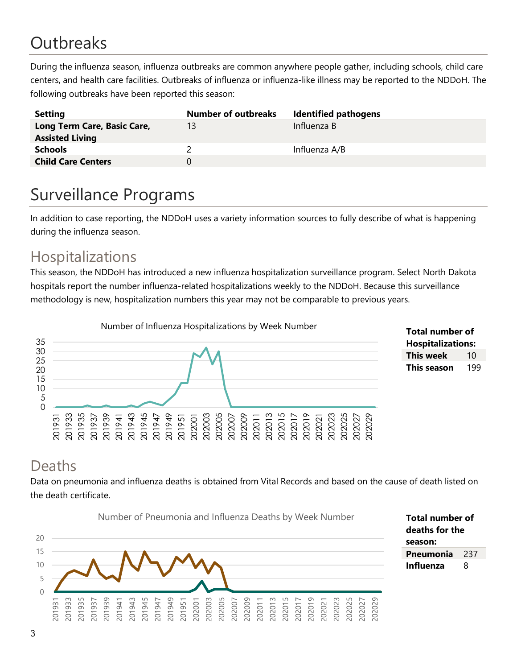# **Outbreaks**

During the influenza season, influenza outbreaks are common anywhere people gather, including schools, child care centers, and health care facilities. Outbreaks of influenza or influenza-like illness may be reported to the NDDoH. The following outbreaks have been reported this season:

| <b>Setting</b>                                        | <b>Number of outbreaks</b> | <b>Identified pathogens</b> |
|-------------------------------------------------------|----------------------------|-----------------------------|
| Long Term Care, Basic Care,<br><b>Assisted Living</b> | 13                         | Influenza B                 |
| <b>Schools</b>                                        |                            | Influenza A/B               |
| <b>Child Care Centers</b>                             | $^{(1)}$                   |                             |

# Surveillance Programs

In addition to case reporting, the NDDoH uses a variety information sources to fully describe of what is happening during the influenza season.

#### Hospitalizations

This season, the NDDoH has introduced a new influenza hospitalization surveillance program. Select North Dakota hospitals report the number influenza-related hospitalizations weekly to the NDDoH. Because this surveillance methodology is new, hospitalization numbers this year may not be comparable to previous years.



#### **Total number of Hospitalizations: This week** 10 **This season** 199

#### Deaths

Data on pneumonia and influenza deaths is obtained from Vital Records and based on the cause of death listed on the death certificate.



**Total number of deaths for the season: Pneumonia** 237 **Influenza** 8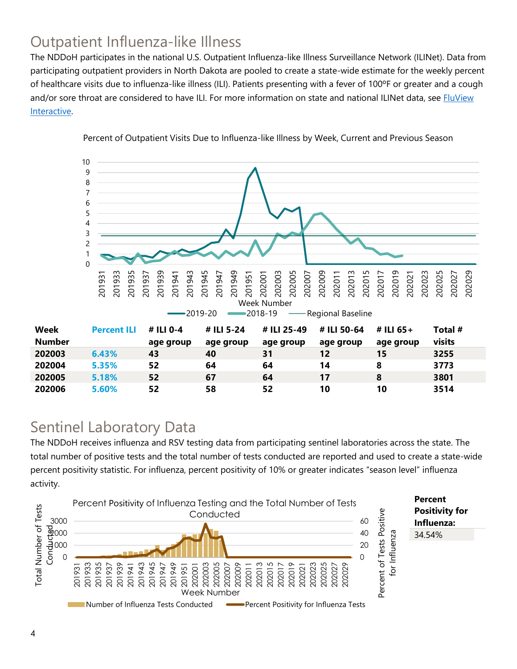## Outpatient Influenza-like Illness

The NDDoH participates in the national U.S. Outpatient Influenza-like Illness Surveillance Network (ILINet). Data from participating outpatient providers in North Dakota are pooled to create a state-wide estimate for the weekly percent of healthcare visits due to influenza-like illness (ILI). Patients presenting with a fever of 100ºF or greater and a cough and/or sore throat are considered to have ILI. For more information on state and national ILINet data, see **FluView** [Interactive.](https://gis.cdc.gov/grasp/fluview/fluportaldashboard.html)



Percent of Outpatient Visits Due to Influenza-like Illness by Week, Current and Previous Season

#### Sentinel Laboratory Data

The NDDoH receives influenza and RSV testing data from participating sentinel laboratories across the state. The total number of positive tests and the total number of tests conducted are reported and used to create a state-wide percent positivity statistic. For influenza, percent positivity of 10% or greater indicates "season level" influenza activity.

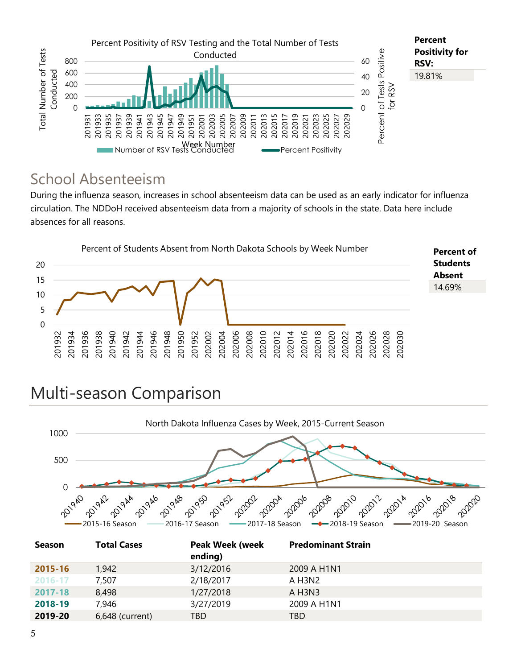

### School Absenteeism

During the influenza season, increases in school absenteeism data can be used as an early indicator for influenza circulation. The NDDoH received absenteeism data from a majority of schools in the state. Data here include absences for all reasons.



# Multi-season Comparison